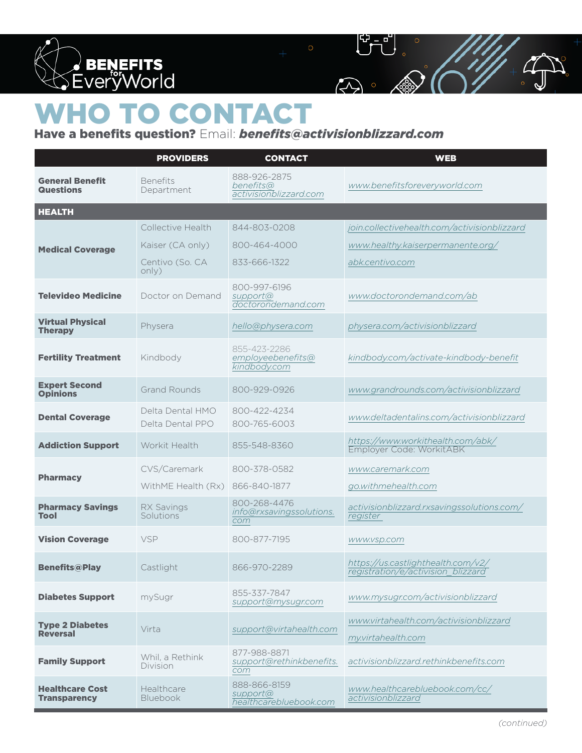

## **TO CONTACT**

## Have a benefits question? Email: *benefits@activisionblizzard.com*

 $\widehat{\mathbb{C}}$ 

|                                               | <b>PROVIDERS</b>                     | <b>CONTACT</b>                                      | <b>WEB</b>                                                               |
|-----------------------------------------------|--------------------------------------|-----------------------------------------------------|--------------------------------------------------------------------------|
| <b>General Benefit</b><br><b>Questions</b>    | <b>Benefits</b><br>Department        | 888-926-2875<br>benefits@<br>activisionblizzard.com | www.benefitsforeveryworld.com                                            |
| <b>HEALTH</b>                                 |                                      |                                                     |                                                                          |
| <b>Medical Coverage</b>                       | Collective Health                    | 844-803-0208                                        | join.collectivehealth.com/activisionblizzard                             |
|                                               | Kaiser (CA only)                     | 800-464-4000                                        | www.healthy.kaiserpermanente.org/                                        |
|                                               | Centivo (So. CA<br>only)             | 833-666-1322                                        | abk.centivo.com                                                          |
| <b>Televideo Medicine</b>                     | Doctor on Demand                     | 800-997-6196<br>support@<br>doctorondemand.com      | www.doctorondemand.com/ab                                                |
| <b>Virtual Physical</b><br><b>Therapy</b>     | Physera                              | hello@physera.com                                   | physera.com/activisionblizzard                                           |
| <b>Fertility Treatment</b>                    | Kindbody                             | 855-423-2286<br>employeebenefits@<br>kindbody.com   | kindbody.com/activate-kindbody-benefit                                   |
| <b>Expert Second</b><br><b>Opinions</b>       | <b>Grand Rounds</b>                  | 800-929-0926                                        | www.grandrounds.com/activisionblizzard                                   |
| <b>Dental Coverage</b>                        | Delta Dental HMO<br>Delta Dental PPO | 800-422-4234<br>800-765-6003                        | www.deltadentalins.com/activisionblizzard                                |
| <b>Addiction Support</b>                      | Workit Health                        | 855-548-8360                                        | https://www.workithealth.com/abk/<br>Employer Code: WorkitABK            |
| <b>Pharmacy</b>                               | CVS/Caremark                         | 800-378-0582                                        | www.caremark.com                                                         |
|                                               | WithME Health (Rx)                   | 866-840-1877                                        | go.withmehealth.com                                                      |
| <b>Pharmacy Savings</b><br>Tool               | <b>RX Savings</b><br>Solutions       | 800-268-4476<br>info@rxsavingssolutions.<br>com     | activisionblizzard.rxsavingssolutions.com/<br>register                   |
| <b>Vision Coverage</b>                        | <b>VSP</b>                           | 800-877-7195                                        | www.vsp.com                                                              |
| <b>Benefits@Play</b>                          | Castlight                            | 866-970-2289                                        | https://us.castlighthealth.com/v2/<br>registration/e/activision_blizzard |
| <b>Diabetes Support</b>                       | mySugr                               | 855-337-7847<br>support@mysugr.com                  | www.mysugr.com/activisionblizzard                                        |
| <b>Type 2 Diabetes</b><br><b>Reversal</b>     | Virta                                | support@virtahealth.com                             | www.virtahealth.com/activisionblizzard<br>my.virtahealth.com             |
| <b>Family Support</b>                         | Whil, a Rethink<br>Division          | 877-988-8871<br>support@rethinkbenefits.<br>com     | activisionblizzard.rethinkbenefits.com                                   |
| <b>Healthcare Cost</b><br><b>Transparency</b> | Healthcare<br><b>Bluebook</b>        | 888-866-8159<br>support@<br>healthcarebluebook.com  | www.healthcarebluebook.com/cc/<br>activisionblizzard                     |